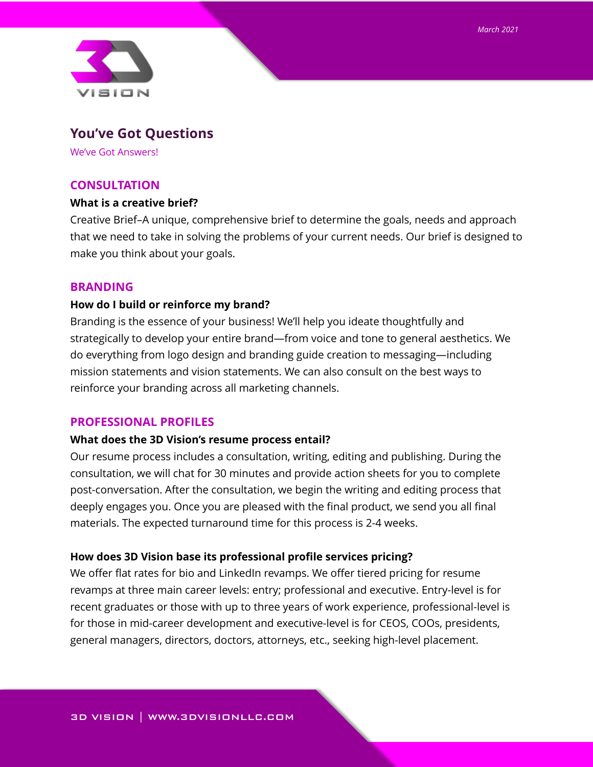

# **You've Got Questions**

We've Got Answers!

# **CONSULTATION**

### **What is a creative brief?**

Creative Brief–A unique, comprehensive brief to determine the goals, needs and approach that we need to take in solving the problems of your current needs. Our brief is designed to make you think about your goals.

# **BRANDING**

### **How do I build or reinforce my brand?**

Branding is the essence of your business! We'll help you ideate thoughtfully and strategically to develop your entire brand—from voice and tone to general aesthetics. We do everything from logo design and branding guide creation to messaging—including mission statements and vision statements. We can also consult on the best ways to reinforce your branding across all marketing channels.

# **PROFESSIONAL PROFILES**

# **What does the 3D Vision's resume process entail?**

Our resume process includes a consultation, writing, editing and publishing. During the consultation, we will chat for 30 minutes and provide action sheets for you to complete post-conversation. After the consultation, we begin the writing and editing process that deeply engages you. Once you are pleased with the final product, we send you all final materials. The expected turnaround time for this process is 2-4 weeks.

### **How does 3D Vision base its professional profile services pricing?**

We offer flat rates for bio and LinkedIn revamps. We offer tiered pricing for resume revamps at three main career levels: entry; professional and executive. Entry-level is for recent graduates or those with up to three years of work experience, professional-level is for those in mid-career development and executive-level is for CEOS, COOs, presidents, general managers, directors, doctors, attorneys, etc., seeking high-level placement.